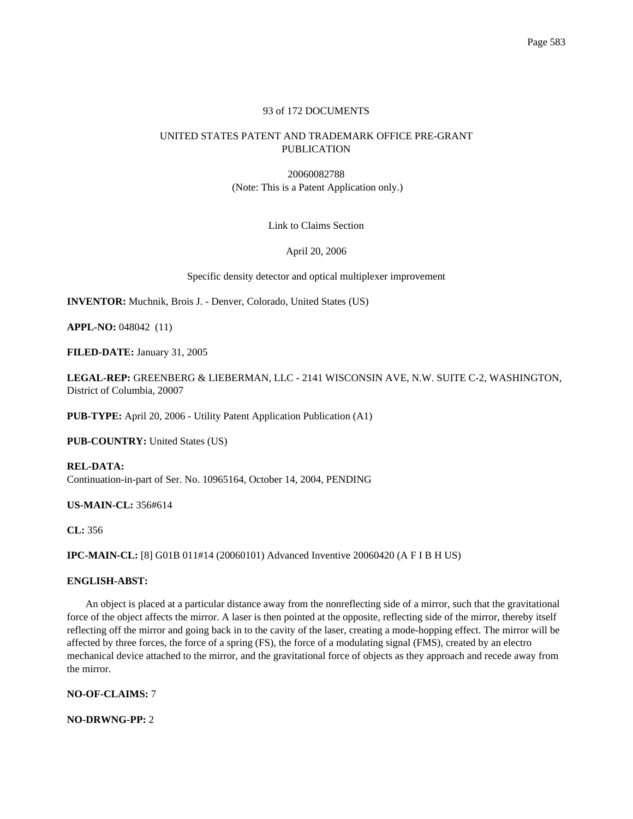## 93 of 172 DOCUMENTS

# UNITED STATES PATENT AND TRADEMARK OFFICE PRE-GRANT PUBLICATION

20060082788 (Note: This is a Patent Application only.)

Link to Claims Section

April 20, 2006

Specific density detector and optical multiplexer improvement

**INVENTOR:** Muchnik, Brois J. - Denver, Colorado, United States (US)

**APPL-NO:** 048042 (11)

**FILED-DATE:** January 31, 2005

**LEGAL-REP:** GREENBERG & LIEBERMAN, LLC - 2141 WISCONSIN AVE, N.W. SUITE C-2, WASHINGTON, District of Columbia, 20007

**PUB-TYPE:** April 20, 2006 - Utility Patent Application Publication (A1)

**PUB-COUNTRY:** United States (US)

**REL-DATA:** Continuation-in-part of Ser. No. 10965164, October 14, 2004, PENDING

**US-MAIN-CL:** 356#614

**CL:** 356

**IPC-MAIN-CL:** [8] G01B 011#14 (20060101) Advanced Inventive 20060420 (A F I B H US)

## **ENGLISH-ABST:**

An object is placed at a particular distance away from the nonreflecting side of a mirror, such that the gravitational force of the object affects the mirror. A laser is then pointed at the opposite, reflecting side of the mirror, thereby itself reflecting off the mirror and going back in to the cavity of the laser, creating a mode-hopping effect. The mirror will be affected by three forces, the force of a spring (FS), the force of a modulating signal (FMS), created by an electro mechanical device attached to the mirror, and the gravitational force of objects as they approach and recede away from the mirror.

**NO-OF-CLAIMS:** 7

**NO-DRWNG-PP:** 2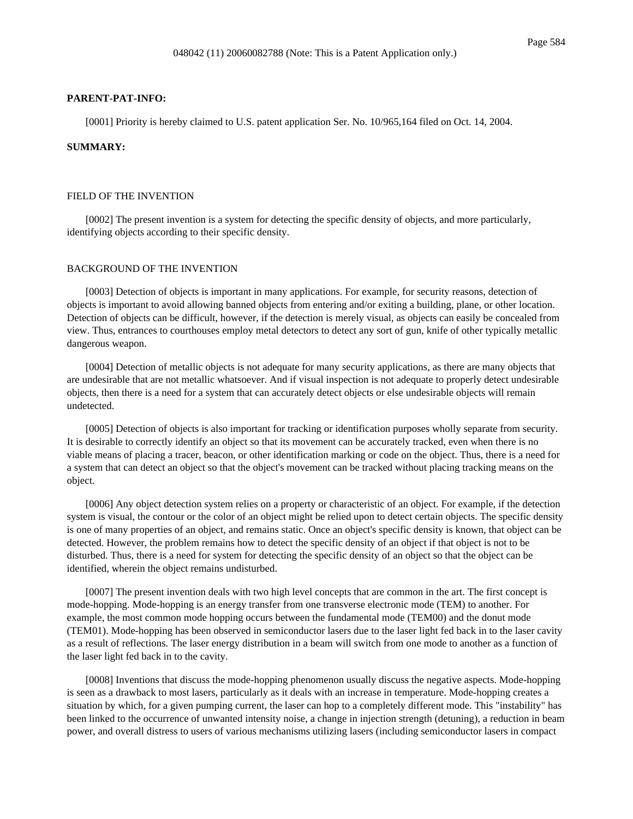#### **PARENT-PAT-INFO:**

[0001] Priority is hereby claimed to U.S. patent application Ser. No. 10/965,164 filed on Oct. 14, 2004.

### **SUMMARY:**

#### FIELD OF THE INVENTION

[0002] The present invention is a system for detecting the specific density of objects, and more particularly, identifying objects according to their specific density.

### BACKGROUND OF THE INVENTION

[0003] Detection of objects is important in many applications. For example, for security reasons, detection of objects is important to avoid allowing banned objects from entering and/or exiting a building, plane, or other location. Detection of objects can be difficult, however, if the detection is merely visual, as objects can easily be concealed from view. Thus, entrances to courthouses employ metal detectors to detect any sort of gun, knife of other typically metallic dangerous weapon.

[0004] Detection of metallic objects is not adequate for many security applications, as there are many objects that are undesirable that are not metallic whatsoever. And if visual inspection is not adequate to properly detect undesirable objects, then there is a need for a system that can accurately detect objects or else undesirable objects will remain undetected.

[0005] Detection of objects is also important for tracking or identification purposes wholly separate from security. It is desirable to correctly identify an object so that its movement can be accurately tracked, even when there is no viable means of placing a tracer, beacon, or other identification marking or code on the object. Thus, there is a need for a system that can detect an object so that the object's movement can be tracked without placing tracking means on the object.

[0006] Any object detection system relies on a property or characteristic of an object. For example, if the detection system is visual, the contour or the color of an object might be relied upon to detect certain objects. The specific density is one of many properties of an object, and remains static. Once an object's specific density is known, that object can be detected. However, the problem remains how to detect the specific density of an object if that object is not to be disturbed. Thus, there is a need for system for detecting the specific density of an object so that the object can be identified, wherein the object remains undisturbed.

[0007] The present invention deals with two high level concepts that are common in the art. The first concept is mode-hopping. Mode-hopping is an energy transfer from one transverse electronic mode (TEM) to another. For example, the most common mode hopping occurs between the fundamental mode (TEM00) and the donut mode (TEM01). Mode-hopping has been observed in semiconductor lasers due to the laser light fed back in to the laser cavity as a result of reflections. The laser energy distribution in a beam will switch from one mode to another as a function of the laser light fed back in to the cavity.

[0008] Inventions that discuss the mode-hopping phenomenon usually discuss the negative aspects. Mode-hopping is seen as a drawback to most lasers, particularly as it deals with an increase in temperature. Mode-hopping creates a situation by which, for a given pumping current, the laser can hop to a completely different mode. This "instability" has been linked to the occurrence of unwanted intensity noise, a change in injection strength (detuning), a reduction in beam power, and overall distress to users of various mechanisms utilizing lasers (including semiconductor lasers in compact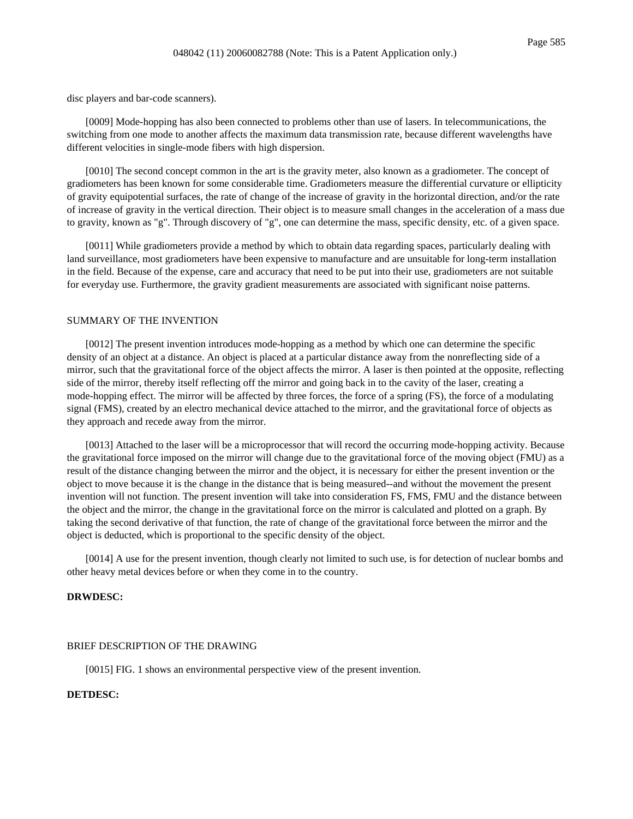disc players and bar-code scanners).

[0009] Mode-hopping has also been connected to problems other than use of lasers. In telecommunications, the switching from one mode to another affects the maximum data transmission rate, because different wavelengths have different velocities in single-mode fibers with high dispersion.

[0010] The second concept common in the art is the gravity meter, also known as a gradiometer. The concept of gradiometers has been known for some considerable time. Gradiometers measure the differential curvature or ellipticity of gravity equipotential surfaces, the rate of change of the increase of gravity in the horizontal direction, and/or the rate of increase of gravity in the vertical direction. Their object is to measure small changes in the acceleration of a mass due to gravity, known as "g". Through discovery of "g", one can determine the mass, specific density, etc. of a given space.

[0011] While gradiometers provide a method by which to obtain data regarding spaces, particularly dealing with land surveillance, most gradiometers have been expensive to manufacture and are unsuitable for long-term installation in the field. Because of the expense, care and accuracy that need to be put into their use, gradiometers are not suitable for everyday use. Furthermore, the gravity gradient measurements are associated with significant noise patterns.

### SUMMARY OF THE INVENTION

[0012] The present invention introduces mode-hopping as a method by which one can determine the specific density of an object at a distance. An object is placed at a particular distance away from the nonreflecting side of a mirror, such that the gravitational force of the object affects the mirror. A laser is then pointed at the opposite, reflecting side of the mirror, thereby itself reflecting off the mirror and going back in to the cavity of the laser, creating a mode-hopping effect. The mirror will be affected by three forces, the force of a spring (FS), the force of a modulating signal (FMS), created by an electro mechanical device attached to the mirror, and the gravitational force of objects as they approach and recede away from the mirror.

[0013] Attached to the laser will be a microprocessor that will record the occurring mode-hopping activity. Because the gravitational force imposed on the mirror will change due to the gravitational force of the moving object (FMU) as a result of the distance changing between the mirror and the object, it is necessary for either the present invention or the object to move because it is the change in the distance that is being measured--and without the movement the present invention will not function. The present invention will take into consideration FS, FMS, FMU and the distance between the object and the mirror, the change in the gravitational force on the mirror is calculated and plotted on a graph. By taking the second derivative of that function, the rate of change of the gravitational force between the mirror and the object is deducted, which is proportional to the specific density of the object.

[0014] A use for the present invention, though clearly not limited to such use, is for detection of nuclear bombs and other heavy metal devices before or when they come in to the country.

## **DRWDESC:**

#### BRIEF DESCRIPTION OF THE DRAWING

[0015] FIG. 1 shows an environmental perspective view of the present invention.

## **DETDESC:**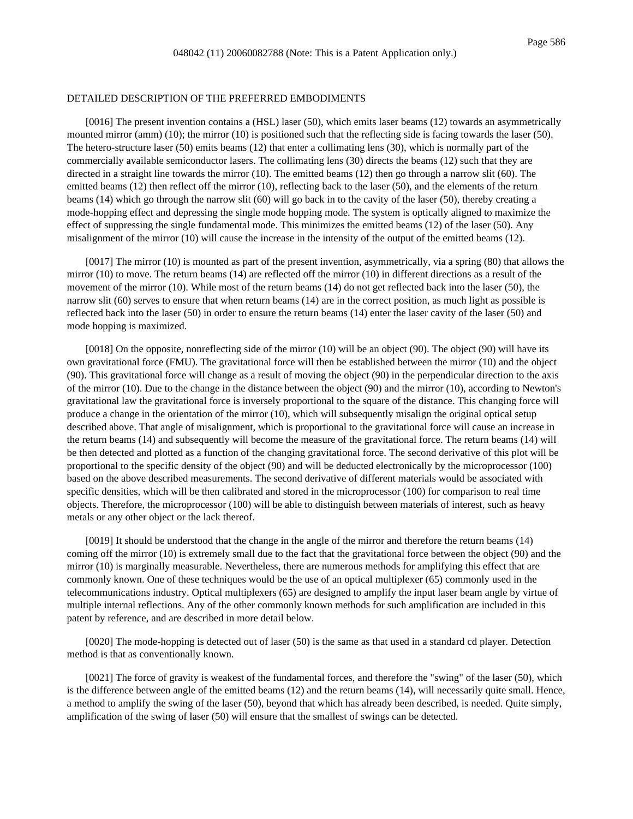#### DETAILED DESCRIPTION OF THE PREFERRED EMBODIMENTS

[0016] The present invention contains a (HSL) laser (50), which emits laser beams (12) towards an asymmetrically mounted mirror (amm) (10); the mirror (10) is positioned such that the reflecting side is facing towards the laser (50). The hetero-structure laser (50) emits beams (12) that enter a collimating lens (30), which is normally part of the commercially available semiconductor lasers. The collimating lens (30) directs the beams (12) such that they are directed in a straight line towards the mirror (10). The emitted beams (12) then go through a narrow slit (60). The emitted beams (12) then reflect off the mirror (10), reflecting back to the laser (50), and the elements of the return beams (14) which go through the narrow slit (60) will go back in to the cavity of the laser (50), thereby creating a mode-hopping effect and depressing the single mode hopping mode. The system is optically aligned to maximize the effect of suppressing the single fundamental mode. This minimizes the emitted beams (12) of the laser (50). Any misalignment of the mirror (10) will cause the increase in the intensity of the output of the emitted beams (12).

[0017] The mirror (10) is mounted as part of the present invention, asymmetrically, via a spring (80) that allows the mirror (10) to move. The return beams (14) are reflected off the mirror (10) in different directions as a result of the movement of the mirror (10). While most of the return beams (14) do not get reflected back into the laser (50), the narrow slit (60) serves to ensure that when return beams (14) are in the correct position, as much light as possible is reflected back into the laser (50) in order to ensure the return beams (14) enter the laser cavity of the laser (50) and mode hopping is maximized.

[0018] On the opposite, nonreflecting side of the mirror (10) will be an object (90). The object (90) will have its own gravitational force (FMU). The gravitational force will then be established between the mirror (10) and the object (90). This gravitational force will change as a result of moving the object (90) in the perpendicular direction to the axis of the mirror (10). Due to the change in the distance between the object (90) and the mirror (10), according to Newton's gravitational law the gravitational force is inversely proportional to the square of the distance. This changing force will produce a change in the orientation of the mirror (10), which will subsequently misalign the original optical setup described above. That angle of misalignment, which is proportional to the gravitational force will cause an increase in the return beams (14) and subsequently will become the measure of the gravitational force. The return beams (14) will be then detected and plotted as a function of the changing gravitational force. The second derivative of this plot will be proportional to the specific density of the object (90) and will be deducted electronically by the microprocessor (100) based on the above described measurements. The second derivative of different materials would be associated with specific densities, which will be then calibrated and stored in the microprocessor (100) for comparison to real time objects. Therefore, the microprocessor (100) will be able to distinguish between materials of interest, such as heavy metals or any other object or the lack thereof.

[0019] It should be understood that the change in the angle of the mirror and therefore the return beams (14) coming off the mirror (10) is extremely small due to the fact that the gravitational force between the object (90) and the mirror (10) is marginally measurable. Nevertheless, there are numerous methods for amplifying this effect that are commonly known. One of these techniques would be the use of an optical multiplexer (65) commonly used in the telecommunications industry. Optical multiplexers (65) are designed to amplify the input laser beam angle by virtue of multiple internal reflections. Any of the other commonly known methods for such amplification are included in this patent by reference, and are described in more detail below.

[0020] The mode-hopping is detected out of laser (50) is the same as that used in a standard cd player. Detection method is that as conventionally known.

[0021] The force of gravity is weakest of the fundamental forces, and therefore the "swing" of the laser (50), which is the difference between angle of the emitted beams (12) and the return beams (14), will necessarily quite small. Hence, a method to amplify the swing of the laser (50), beyond that which has already been described, is needed. Quite simply, amplification of the swing of laser (50) will ensure that the smallest of swings can be detected.